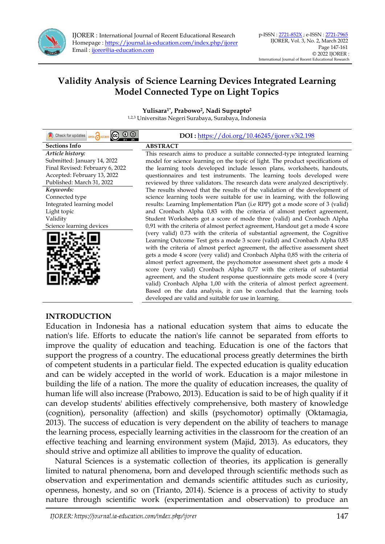

# **Validity Analysis of Science Learning Devices Integrated Learning Model Connected Type on Light Topics**

**Yulisara1\* , Prabowo<sup>2</sup> , Nadi Suprapto<sup>2</sup>** 1,2,3 Universitas Negeri Surabaya, Surabaya, Indonesia

| Check for updates <b>OPEN</b> ACCESS CC                  | DOI: https://doi.org/10.46245/ijorer.v3i2.198                                                                                                                  |
|----------------------------------------------------------|----------------------------------------------------------------------------------------------------------------------------------------------------------------|
| <b>Sections Info</b>                                     | <b>ABSTRACT</b>                                                                                                                                                |
| Article history:<br>Submitted: January 14, 2022          | This research aims to produce a suitable connected-type integrated learning<br>model for science learning on the topic of light. The product specifications of |
| Final Revised: February 6, 2022                          | the learning tools developed include lesson plans, worksheets, handouts,                                                                                       |
| Accepted: February 13, 2022<br>Published: March 31, 2022 | questionnaires and test instruments. The learning tools developed were<br>reviewed by three validators. The research data were analyzed descriptively.         |
| Keywords:                                                | The results showed that the results of the validation of the development of                                                                                    |
| Connected type                                           | science learning tools were suitable for use in learning, with the following                                                                                   |
| Integrated learning model                                | results: Learning Implementation Plan (i.e RPP) got a mode score of 3 (valid)                                                                                  |
| Light topic                                              | and Cronbach Alpha 0,83 with the criteria of almost perfect agreement,                                                                                         |
| Validity                                                 | Student Worksheets got a score of mode three (valid) and Cronbach Alpha                                                                                        |
| Science learning devices                                 | 0,91 with the criteria of almost perfect agreement, Handout get a mode 4 score                                                                                 |
|                                                          | (very valid) 0.73 with the criteria of substantial agreement, the Cognitive                                                                                    |
|                                                          | Learning Outcome Test gets a mode 3 score (valid) and Cronbach Alpha 0,85                                                                                      |
|                                                          | with the criteria of almost perfect agreement, the affective assessment sheet                                                                                  |
|                                                          | gets a mode 4 score (very valid) and Cronbach Alpha 0,85 with the criteria of                                                                                  |
|                                                          | almost perfect agreement, the psychomotor assessment sheet gets a mode 4                                                                                       |
|                                                          | score (very valid) Cronbach Alpha 0,77 with the criteria of substantial                                                                                        |
|                                                          | agreement, and the student response questionnaire gets mode score 4 (very                                                                                      |
|                                                          | valid) Cronbach Alpha 1,00 with the criteria of almost perfect agreement.                                                                                      |
|                                                          | Based on the data analysis, it can be concluded that the learning tools                                                                                        |
|                                                          | developed are valid and suitable for use in learning.                                                                                                          |

### **INTRODUCTION**

Education in Indonesia has a national education system that aims to educate the nation's life. Efforts to educate the nation's life cannot be separated from efforts to improve the quality of education and teaching. Education is one of the factors that support the progress of a country. The educational process greatly determines the birth of competent students in a particular field. The expected education is quality education and can be widely accepted in the world of work. Education is a major milestone in building the life of a nation. The more the quality of education increases, the quality of human life will also increase (Prabowo, 2013). Education is said to be of high quality if it can develop students' abilities effectively comprehensive, both mastery of knowledge (cognition), personality (affection) and skills (psychomotor) optimally (Oktamagia, 2013). The success of education is very dependent on the ability of teachers to manage the learning process, especially learning activities in the classroom for the creation of an effective teaching and learning environment system (Majid, 2013). As educators, they should strive and optimize all abilities to improve the quality of education.

Natural Sciences is a systematic collection of theories, its application is generally limited to natural phenomena, born and developed through scientific methods such as observation and experimentation and demands scientific attitudes such as curiosity, openness, honesty, and so on (Trianto, 2014). Science is a process of activity to study nature through scientific work (experimentation and observation) to produce an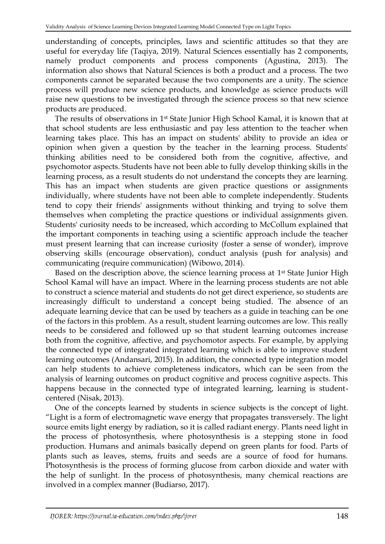understanding of concepts, principles, laws and scientific attitudes so that they are useful for everyday life (Taqiya, 2019). Natural Sciences essentially has 2 components, namely product components and process components (Agustina, 2013). The information also shows that Natural Sciences is both a product and a process. The two components cannot be separated because the two components are a unity. The science process will produce new science products, and knowledge as science products will raise new questions to be investigated through the science process so that new science products are produced.

The results of observations in 1<sup>st</sup> State Junior High School Kamal, it is known that at that school students are less enthusiastic and pay less attention to the teacher when learning takes place. This has an impact on students' ability to provide an idea or opinion when given a question by the teacher in the learning process. Students' thinking abilities need to be considered both from the cognitive, affective, and psychomotor aspects. Students have not been able to fully develop thinking skills in the learning process, as a result students do not understand the concepts they are learning. This has an impact when students are given practice questions or assignments individually, where students have not been able to complete independently. Students tend to copy their friends' assignments without thinking and trying to solve them themselves when completing the practice questions or individual assignments given. Students' curiosity needs to be increased, which according to McCollum explained that the important components in teaching using a scientific approach include the teacher must present learning that can increase curiosity (foster a sense of wonder), improve observing skills (encourage observation), conduct analysis (push for analysis) and communicating (require communication) (Wibowo, 2014).

Based on the description above, the science learning process at 1<sup>st</sup> State Junior High School Kamal will have an impact. Where in the learning process students are not able to construct a science material and students do not get direct experience, so students are increasingly difficult to understand a concept being studied. The absence of an adequate learning device that can be used by teachers as a guide in teaching can be one of the factors in this problem. As a result, student learning outcomes are low. This really needs to be considered and followed up so that student learning outcomes increase both from the cognitive, affective, and psychomotor aspects. For example, by applying the connected type of integrated integrated learning which is able to improve student learning outcomes (Andansari, 2015). In addition, the connected type integration model can help students to achieve completeness indicators, which can be seen from the analysis of learning outcomes on product cognitive and process cognitive aspects. This happens because in the connected type of integrated learning, learning is studentcentered (Nisak, 2013).

One of the concepts learned by students in science subjects is the concept of light. "Light is a form of electromagnetic wave energy that propagates transversely. The light source emits light energy by radiation, so it is called radiant energy. Plants need light in the process of photosynthesis, where photosynthesis is a stepping stone in food production. Humans and animals basically depend on green plants for food. Parts of plants such as leaves, stems, fruits and seeds are a source of food for humans. Photosynthesis is the process of forming glucose from carbon dioxide and water with the help of sunlight. In the process of photosynthesis, many chemical reactions are involved in a complex manner (Budiarso, 2017).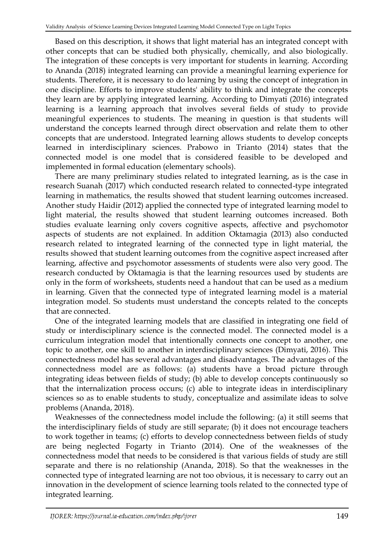Based on this description, it shows that light material has an integrated concept with other concepts that can be studied both physically, chemically, and also biologically. The integration of these concepts is very important for students in learning. According to Ananda (2018) integrated learning can provide a meaningful learning experience for students. Therefore, it is necessary to do learning by using the concept of integration in one discipline. Efforts to improve students' ability to think and integrate the concepts they learn are by applying integrated learning. According to Dimyati (2016) integrated learning is a learning approach that involves several fields of study to provide meaningful experiences to students. The meaning in question is that students will understand the concepts learned through direct observation and relate them to other concepts that are understood. Integrated learning allows students to develop concepts learned in interdisciplinary sciences. Prabowo in Trianto (2014) states that the connected model is one model that is considered feasible to be developed and implemented in formal education (elementary schools).

There are many preliminary studies related to integrated learning, as is the case in research Suanah (2017) which conducted research related to connected-type integrated learning in mathematics, the results showed that student learning outcomes increased. Another study Haidir (2012) applied the connected type of integrated learning model to light material, the results showed that student learning outcomes increased. Both studies evaluate learning only covers cognitive aspects, affective and psychomotor aspects of students are not explained. In addition Oktamagia (2013) also conducted research related to integrated learning of the connected type in light material, the results showed that student learning outcomes from the cognitive aspect increased after learning, affective and psychomotor assessments of students were also very good. The research conducted by Oktamagia is that the learning resources used by students are only in the form of worksheets, students need a handout that can be used as a medium in learning. Given that the connected type of integrated learning model is a material integration model. So students must understand the concepts related to the concepts that are connected.

One of the integrated learning models that are classified in integrating one field of study or interdisciplinary science is the connected model. The connected model is a curriculum integration model that intentionally connects one concept to another, one topic to another, one skill to another in interdisciplinary sciences (Dimyati, 2016). This connectedness model has several advantages and disadvantages. The advantages of the connectedness model are as follows: (a) students have a broad picture through integrating ideas between fields of study; (b) able to develop concepts continuously so that the internalization process occurs; (c) able to integrate ideas in interdisciplinary sciences so as to enable students to study, conceptualize and assimilate ideas to solve problems (Ananda, 2018).

Weaknesses of the connectedness model include the following: (a) it still seems that the interdisciplinary fields of study are still separate; (b) it does not encourage teachers to work together in teams; (c) efforts to develop connectedness between fields of study are being neglected Fogarty in Trianto (2014). One of the weaknesses of the connectedness model that needs to be considered is that various fields of study are still separate and there is no relationship (Ananda, 2018). So that the weaknesses in the connected type of integrated learning are not too obvious, it is necessary to carry out an innovation in the development of science learning tools related to the connected type of integrated learning.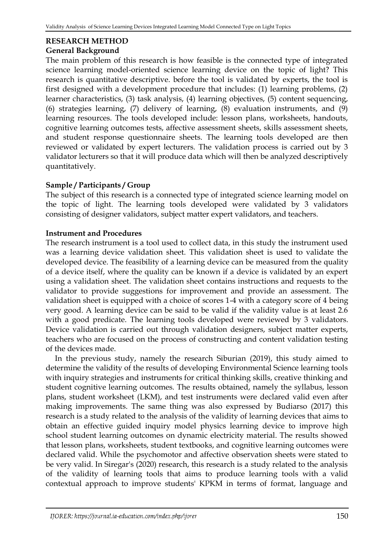# **RESEARCH METHOD**

## **General Background**

The main problem of this research is how feasible is the connected type of integrated science learning model-oriented science learning device on the topic of light? This research is quantitative descriptive. before the tool is validated by experts, the tool is first designed with a development procedure that includes: (1) learning problems, (2) learner characteristics, (3) task analysis, (4) learning objectives, (5) content sequencing, (6) strategies learning, (7) delivery of learning, (8) evaluation instruments, and (9) learning resources. The tools developed include: lesson plans, worksheets, handouts, cognitive learning outcomes tests, affective assessment sheets, skills assessment sheets, and student response questionnaire sheets. The learning tools developed are then reviewed or validated by expert lecturers. The validation process is carried out by 3 validator lecturers so that it will produce data which will then be analyzed descriptively quantitatively.

## **Sample / Participants / Group**

The subject of this research is a connected type of integrated science learning model on the topic of light. The learning tools developed were validated by 3 validators consisting of designer validators, subject matter expert validators, and teachers.

## **Instrument and Procedures**

The research instrument is a tool used to collect data, in this study the instrument used was a learning device validation sheet. This validation sheet is used to validate the developed device. The feasibility of a learning device can be measured from the quality of a device itself, where the quality can be known if a device is validated by an expert using a validation sheet. The validation sheet contains instructions and requests to the validator to provide suggestions for improvement and provide an assessment. The validation sheet is equipped with a choice of scores 1-4 with a category score of 4 being very good. A learning device can be said to be valid if the validity value is at least 2.6 with a good predicate. The learning tools developed were reviewed by 3 validators. Device validation is carried out through validation designers, subject matter experts, teachers who are focused on the process of constructing and content validation testing of the devices made.

In the previous study, namely the research Siburian (2019), this study aimed to determine the validity of the results of developing Environmental Science learning tools with inquiry strategies and instruments for critical thinking skills, creative thinking and student cognitive learning outcomes. The results obtained, namely the syllabus, lesson plans, student worksheet (LKM), and test instruments were declared valid even after making improvements. The same thing was also expressed by Budiarso (2017) this research is a study related to the analysis of the validity of learning devices that aims to obtain an effective guided inquiry model physics learning device to improve high school student learning outcomes on dynamic electricity material. The results showed that lesson plans, worksheets, student textbooks, and cognitive learning outcomes were declared valid. While the psychomotor and affective observation sheets were stated to be very valid. In Siregar's (2020) research, this research is a study related to the analysis of the validity of learning tools that aims to produce learning tools with a valid contextual approach to improve students' KPKM in terms of format, language and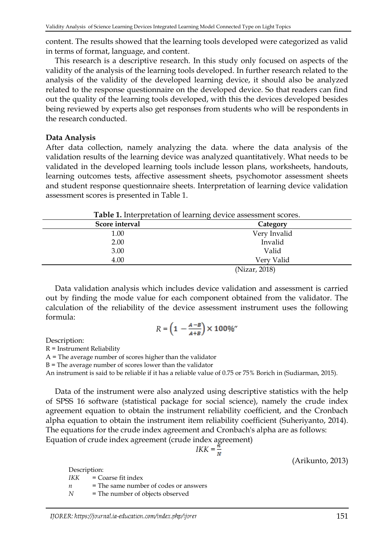content. The results showed that the learning tools developed were categorized as valid in terms of format, language, and content.

This research is a descriptive research. In this study only focused on aspects of the validity of the analysis of the learning tools developed. In further research related to the analysis of the validity of the developed learning device, it should also be analyzed related to the response questionnaire on the developed device. So that readers can find out the quality of the learning tools developed, with this the devices developed besides being reviewed by experts also get responses from students who will be respondents in the research conducted.

#### **Data Analysis**

After data collection, namely analyzing the data. where the data analysis of the validation results of the learning device was analyzed quantitatively. What needs to be validated in the developed learning tools include lesson plans, worksheets, handouts, learning outcomes tests, affective assessment sheets, psychomotor assessment sheets and student response questionnaire sheets. Interpretation of learning device validation assessment scores is presented in Table 1.

| Score interval | Category      |  |
|----------------|---------------|--|
| 1.00           | Very Invalid  |  |
| 2.00           | Invalid       |  |
| 3.00           | Valid         |  |
| 4.00           | Very Valid    |  |
|                | (Nizar, 2018) |  |

**Table 1.** Interpretation of learning device assessment scores.

Data validation analysis which includes device validation and assessment is carried out by finding the mode value for each component obtained from the validator. The calculation of the reliability of the device assessment instrument uses the following formula:

$$
R = \left(1 - \frac{A - B}{A + B}\right) \times 100\%
$$

Description:

R = Instrument Reliability

A = The average number of scores higher than the validator

 $B$  = The average number of scores lower than the validator

An instrument is said to be reliable if it has a reliable value of 0.75 or 75% Borich in (Sudiarman, 2015).

Data of the instrument were also analyzed using descriptive statistics with the help of SPSS 16 software (statistical package for social science), namely the crude index agreement equation to obtain the instrument reliability coefficient, and the Cronbach alpha equation to obtain the instrument item reliability coefficient (Suheriyanto, 2014). The equations for the crude index agreement and Cronbach's alpha are as follows: Equation of crude index agreement (crude index agreement)

$$
IKK = \frac{n}{N}
$$

(Arikunto, 2013)

Description: *IKK =* Coarse fit index *n* = The same number of codes or answers *N* = The number of objects observed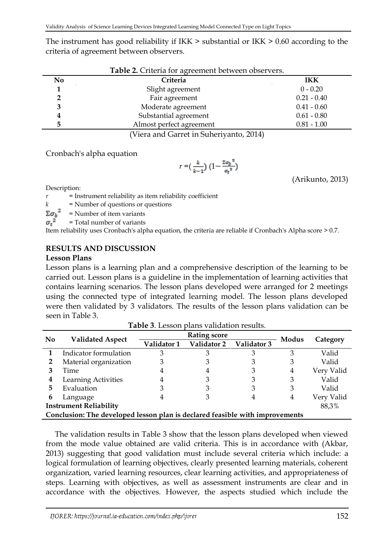The instrument has good reliability if IKK > substantial or IKK > 0.60 according to the criteria of agreement between observers.

|    | Table 2. Criteria for agreement between observers. |               |  |  |  |  |
|----|----------------------------------------------------|---------------|--|--|--|--|
| No | Criteria                                           | <b>IKK</b>    |  |  |  |  |
|    | Slight agreement                                   | $0 - 0.20$    |  |  |  |  |
|    | Fair agreement                                     | $0.21 - 0.40$ |  |  |  |  |
|    | Moderate agreement                                 | $0.41 - 0.60$ |  |  |  |  |
|    | Substantial agreement                              | $0.61 - 0.80$ |  |  |  |  |
|    | Almost perfect agreement                           | $0.81 - 1.00$ |  |  |  |  |
|    |                                                    |               |  |  |  |  |

(Viera and Garret in Suheriyanto, 2014)

Cronbach's alpha equation

$$
r\mathbin=\!\bigl(\frac{k}{k-1}\bigr)\,\bigl(1\!-\!\frac{\mathbin{\scriptstyle \Sigma}\sigma_{\!b}^{\phantom{b}2}}{\sigma_{\!t}^{\phantom{b}2}}\bigr)
$$

(Arikunto, 2013)

Description:

*r =* Instrument reliability as item reliability coefficient

*k* = Number of questions or questions  $\Sigma \sigma_b^2$  = Number of item variants

*=* Number of item variants

 $\sigma_t^2$ *=* Total number of variants

Item reliability uses Cronbach's alpha equation, the criteria are reliable if Cronbach's Alpha score > 0.7.

## **RESULTS AND DISCUSSION**

### **Lesson Plans**

Lesson plans is a learning plan and a comprehensive description of the learning to be carried out. Lesson plans is a guideline in the implementation of learning activities that contains learning scenarios. The lesson plans developed were arranged for 2 meetings using the connected type of integrated learning model. The lesson plans developed were then validated by 3 validators. The results of the lesson plans validation can be seen in Table 3.

**Table 3**. Lesson plans validation results.

|                                        | $\mathbf{1}$ udic $\mathbf{0}$ . Ecosofi<br><u>ente vanaanon regame</u> .    |             |                     |             |       |            |  |  |
|----------------------------------------|------------------------------------------------------------------------------|-------------|---------------------|-------------|-------|------------|--|--|
| N <sub>0</sub>                         | <b>Validated Aspect</b>                                                      |             | <b>Rating score</b> |             |       |            |  |  |
|                                        |                                                                              | Validator 1 | Validator 2         | Validator 3 | Modus | Category   |  |  |
|                                        | Indicator formulation                                                        | З           |                     |             | З     | Valid      |  |  |
|                                        | Material organization                                                        |             |                     |             | З     | Valid      |  |  |
|                                        | Time                                                                         | 4           |                     |             | 4     | Very Valid |  |  |
| 4                                      | Learning Activities                                                          | 4           |                     |             | З     | Valid      |  |  |
| 5                                      | Evaluation                                                                   | 3           |                     |             | 3     | Valid      |  |  |
| 6                                      | Language                                                                     | 4           |                     | 4           | 4     | Very Valid |  |  |
| <b>Instrument Reliability</b><br>88,3% |                                                                              |             |                     |             |       |            |  |  |
|                                        | Conclusion: The developed lesson plan is declared feasible with improvements |             |                     |             |       |            |  |  |

The validation results in Table 3 show that the lesson plans developed when viewed from the mode value obtained are valid criteria. This is in accordance with (Akbar, 2013) suggesting that good validation must include several criteria which include: a logical formulation of learning objectives, clearly presented learning materials, coherent organization, varied learning resources, clear learning activities, and appropriateness of steps. Learning with objectives, as well as assessment instruments are clear and in accordance with the objectives. However, the aspects studied which include the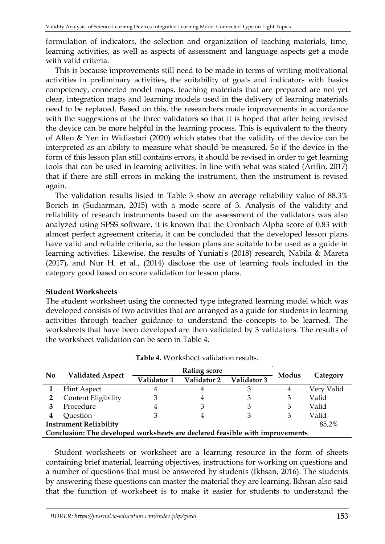formulation of indicators, the selection and organization of teaching materials, time, learning activities, as well as aspects of assessment and language aspects get a mode with valid criteria.

This is because improvements still need to be made in terms of writing motivational activities in preliminary activities, the suitability of goals and indicators with basics competency, connected model maps, teaching materials that are prepared are not yet clear, integration maps and learning models used in the delivery of learning materials need to be replaced. Based on this, the researchers made improvements in accordance with the suggestions of the three validators so that it is hoped that after being revised the device can be more helpful in the learning process. This is equivalent to the theory of Allen & Yen in Widiastari (2020) which states that the validity of the device can be interpreted as an ability to measure what should be measured. So if the device in the form of this lesson plan still contains errors, it should be revised in order to get learning tools that can be used in learning activities. In line with what was stated (Arifin, 2017) that if there are still errors in making the instrument, then the instrument is revised again.

The validation results listed in Table 3 show an average reliability value of 88.3% Borich in (Sudiarman, 2015) with a mode score of 3. Analysis of the validity and reliability of research instruments based on the assessment of the validators was also analyzed using SPSS software, it is known that the Cronbach Alpha score of 0.83 with almost perfect agreement criteria, it can be concluded that the developed lesson plans have valid and reliable criteria, so the lesson plans are suitable to be used as a guide in learning activities. Likewise, the results of Yuniati's (2018) research, Nabila & Mareta (2017), and Nur H. et al., (2014) disclose the use of learning tools included in the category good based on score validation for lesson plans.

#### **Student Worksheets**

The student worksheet using the connected type integrated learning model which was developed consists of two activities that are arranged as a guide for students in learning activities through teacher guidance to understand the concepts to be learned. The worksheets that have been developed are then validated by 3 validators. The results of the worksheet validation can be seen in Table 4.

| <b>No</b>                              |                                                                              |             |             |             |       |            |  |  |
|----------------------------------------|------------------------------------------------------------------------------|-------------|-------------|-------------|-------|------------|--|--|
|                                        | <b>Validated Aspect</b>                                                      | Validator 1 | Validator 2 | Validator 3 | Modus | Category   |  |  |
|                                        | <b>Hint Aspect</b>                                                           | 4           | 4           | З           | 4     | Very Valid |  |  |
|                                        | Content Eligibility                                                          |             | 4           |             |       | Valid      |  |  |
|                                        | Procedure                                                                    |             |             | З           |       | Valid      |  |  |
| 4                                      | Question                                                                     |             |             |             |       | Valid      |  |  |
| <b>Instrument Reliability</b><br>85,2% |                                                                              |             |             |             |       |            |  |  |
|                                        | Conclusion: The developed worksheets are declared feasible with improvements |             |             |             |       |            |  |  |

Student worksheets or worksheet are a learning resource in the form of sheets containing brief material, learning objectives, instructions for working on questions and a number of questions that must be answered by students (Ikhsan, 2016). The students by answering these questions can master the material they are learning. Ikhsan also said that the function of worksheet is to make it easier for students to understand the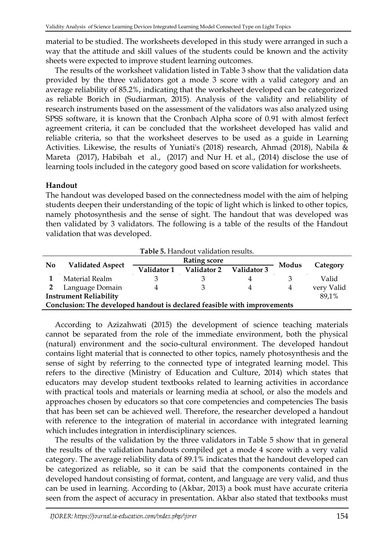material to be studied. The worksheets developed in this study were arranged in such a way that the attitude and skill values of the students could be known and the activity sheets were expected to improve student learning outcomes.

The results of the worksheet validation listed in Table 3 show that the validation data provided by the three validators got a mode 3 score with a valid category and an average reliability of 85.2%, indicating that the worksheet developed can be categorized as reliable Borich in (Sudiarman, 2015). Analysis of the validity and reliability of research instruments based on the assessment of the validators was also analyzed using SPSS software, it is known that the Cronbach Alpha score of 0.91 with almost ferfect agreement criteria, it can be concluded that the worksheet developed has valid and reliable criteria, so that the worksheet deserves to be used as a guide in Learning Activities. Likewise, the results of Yuniati's (2018) research, Ahmad (2018), Nabila & Mareta (2017), Habibah et al., (2017) and Nur H. et al., (2014) disclose the use of learning tools included in the category good based on score validation for worksheets.

## **Handout**

The handout was developed based on the connectedness model with the aim of helping students deepen their understanding of the topic of light which is linked to other topics, namely photosynthesis and the sense of sight. The handout that was developed was then validated by 3 validators. The following is a table of the results of the Handout validation that was developed.

| Table 5. Handout validation results.                                     |                         |             |                     |             |       |            |  |
|--------------------------------------------------------------------------|-------------------------|-------------|---------------------|-------------|-------|------------|--|
|                                                                          | <b>Validated Aspect</b> |             | <b>Rating score</b> |             |       |            |  |
| N <sub>0</sub>                                                           |                         | Validator 1 | Validator 2         | Validator 3 | Modus | Category   |  |
|                                                                          | Material Realm          |             |                     |             |       | Valid      |  |
|                                                                          | Language Domain         |             |                     |             | 4     | very Valid |  |
| <b>Instrument Reliability</b><br>89,1%                                   |                         |             |                     |             |       |            |  |
| Conclusion: The developed handout is declared feasible with improvements |                         |             |                     |             |       |            |  |

According to Azizahwati (2015) the development of science teaching materials cannot be separated from the role of the immediate environment, both the physical (natural) environment and the socio-cultural environment. The developed handout contains light material that is connected to other topics, namely photosynthesis and the sense of sight by referring to the connected type of integrated learning model. This refers to the directive (Ministry of Education and Culture, 2014) which states that educators may develop student textbooks related to learning activities in accordance with practical tools and materials or learning media at school, or also the models and approaches chosen by educators so that core competencies and competencies The basis that has been set can be achieved well. Therefore, the researcher developed a handout with reference to the integration of material in accordance with integrated learning which includes integration in interdisciplinary sciences.

The results of the validation by the three validators in Table 5 show that in general the results of the validation handouts compiled get a mode 4 score with a very valid category. The average reliability data of 89.1% indicates that the handout developed can be categorized as reliable, so it can be said that the components contained in the developed handout consisting of format, content, and language are very valid, and thus can be used in learning. According to (Akbar, 2013) a book must have accurate criteria seen from the aspect of accuracy in presentation. Akbar also stated that textbooks must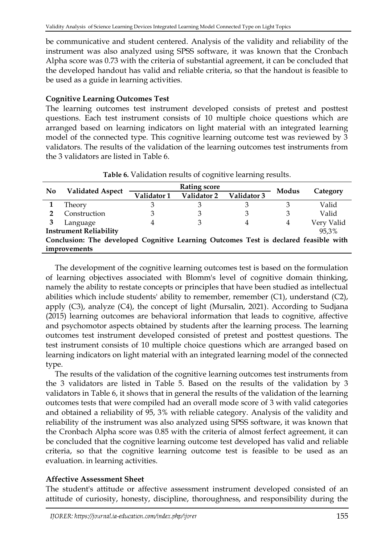be communicative and student centered. Analysis of the validity and reliability of the instrument was also analyzed using SPSS software, it was known that the Cronbach Alpha score was 0.73 with the criteria of substantial agreement, it can be concluded that the developed handout has valid and reliable criteria, so that the handout is feasible to be used as a guide in learning activities.

### **Cognitive Learning Outcomes Test**

The learning outcomes test instrument developed consists of pretest and posttest questions. Each test instrument consists of 10 multiple choice questions which are arranged based on learning indicators on light material with an integrated learning model of the connected type. This cognitive learning outcome test was reviewed by 3 validators. The results of the validation of the learning outcomes test instruments from the 3 validators are listed in Table 6.

|                |                                                                                      |             | <b>Rating score</b> |             |       |            |
|----------------|--------------------------------------------------------------------------------------|-------------|---------------------|-------------|-------|------------|
| N <sub>0</sub> | <b>Validated Aspect</b>                                                              | Validator 1 | Validator 2         | Validator 3 | Modus | Category   |
|                | Theory                                                                               | З           |                     |             | З     | Valid      |
|                | Construction                                                                         | 3           |                     |             |       | Valid      |
|                | Language                                                                             | 4           |                     | 4           | 4     | Very Valid |
|                | <b>Instrument Reliability</b>                                                        |             |                     |             |       | 95,3%      |
|                | Conclusion: The developed Cognitive Learning Outcomes Test is declared feasible with |             |                     |             |       |            |
|                | improvements                                                                         |             |                     |             |       |            |

**Table 6.** Validation results of cognitive learning results.

The development of the cognitive learning outcomes test is based on the formulation of learning objectives associated with Blomm's level of cognitive domain thinking, namely the ability to restate concepts or principles that have been studied as intellectual abilities which include students' ability to remember, remember (C1), understand (C2), apply (C3), analyze (C4), the concept of light (Mursalin, 2021). According to Sudjana (2015) learning outcomes are behavioral information that leads to cognitive, affective and psychomotor aspects obtained by students after the learning process. The learning outcomes test instrument developed consisted of pretest and posttest questions. The test instrument consists of 10 multiple choice questions which are arranged based on learning indicators on light material with an integrated learning model of the connected type.

The results of the validation of the cognitive learning outcomes test instruments from the 3 validators are listed in Table 5. Based on the results of the validation by 3 validators in Table 6, it shows that in general the results of the validation of the learning outcomes tests that were compiled had an overall mode score of 3 with valid categories and obtained a reliability of 95, 3% with reliable category. Analysis of the validity and reliability of the instrument was also analyzed using SPSS software, it was known that the Cronbach Alpha score was 0.85 with the criteria of almost ferfect agreement, it can be concluded that the cognitive learning outcome test developed has valid and reliable criteria, so that the cognitive learning outcome test is feasible to be used as an evaluation. in learning activities.

### **Affective Assessment Sheet**

The student's attitude or affective assessment instrument developed consisted of an attitude of curiosity, honesty, discipline, thoroughness, and responsibility during the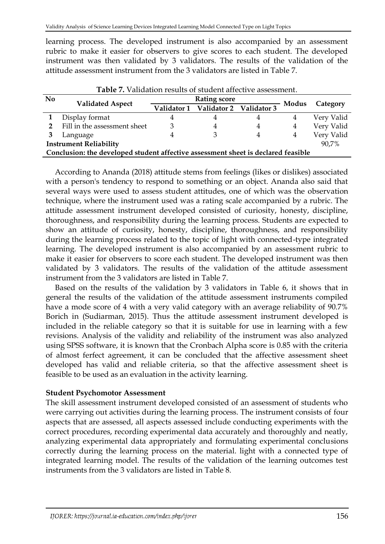learning process. The developed instrument is also accompanied by an assessment rubric to make it easier for observers to give scores to each student. The developed instrument was then validated by 3 validators. The results of the validation of the attitude assessment instrument from the 3 validators are listed in Table 7.

|                | Table 7. Validation results of student affective assessment.                      |  |                                     |   |       |            |  |
|----------------|-----------------------------------------------------------------------------------|--|-------------------------------------|---|-------|------------|--|
| N <sub>0</sub> |                                                                                   |  | <b>Rating score</b>                 |   |       |            |  |
|                | <b>Validated Aspect</b>                                                           |  | Validator 1 Validator 2 Validator 3 |   | Modus | Category   |  |
|                | Display format                                                                    |  |                                     | 4 | 4     | Very Valid |  |
|                | Fill in the assessment sheet                                                      |  |                                     | 4 | 4     | Very Valid |  |
|                | Language                                                                          |  |                                     | 4 | 4     | Very Valid |  |
|                | <b>Instrument Reliability</b><br>90,7%                                            |  |                                     |   |       |            |  |
|                | Conclusion: the developed student affective assessment sheet is declared feasible |  |                                     |   |       |            |  |

According to Ananda (2018) attitude stems from feelings (likes or dislikes) associated with a person's tendency to respond to something or an object. Ananda also said that several ways were used to assess student attitudes, one of which was the observation technique, where the instrument used was a rating scale accompanied by a rubric. The attitude assessment instrument developed consisted of curiosity, honesty, discipline, thoroughness, and responsibility during the learning process. Students are expected to show an attitude of curiosity, honesty, discipline, thoroughness, and responsibility during the learning process related to the topic of light with connected-type integrated learning. The developed instrument is also accompanied by an assessment rubric to make it easier for observers to score each student. The developed instrument was then validated by 3 validators. The results of the validation of the attitude assessment instrument from the 3 validators are listed in Table 7.

Based on the results of the validation by 3 validators in Table 6, it shows that in general the results of the validation of the attitude assessment instruments compiled have a mode score of 4 with a very valid category with an average reliability of 90.7% Borich in (Sudiarman, 2015). Thus the attitude assessment instrument developed is included in the reliable category so that it is suitable for use in learning with a few revisions. Analysis of the validity and reliability of the instrument was also analyzed using SPSS software, it is known that the Cronbach Alpha score is 0.85 with the criteria of almost ferfect agreement, it can be concluded that the affective assessment sheet developed has valid and reliable criteria, so that the affective assessment sheet is feasible to be used as an evaluation in the activity learning.

#### **Student Psychomotor Assessment**

The skill assessment instrument developed consisted of an assessment of students who were carrying out activities during the learning process. The instrument consists of four aspects that are assessed, all aspects assessed include conducting experiments with the correct procedures, recording experimental data accurately and thoroughly and neatly, analyzing experimental data appropriately and formulating experimental conclusions correctly during the learning process on the material. light with a connected type of integrated learning model. The results of the validation of the learning outcomes test instruments from the 3 validators are listed in Table 8.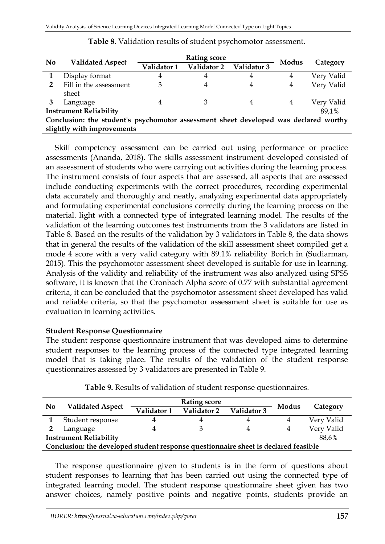|                | <b>Validated Aspect</b>                                                              |             | <b>Rating score</b> | Modus       |   |            |
|----------------|--------------------------------------------------------------------------------------|-------------|---------------------|-------------|---|------------|
| N <sub>0</sub> |                                                                                      | Validator 1 | Validator 2         | Validator 3 |   | Category   |
|                | Display format                                                                       | 4           | 4                   | 4           | 4 | Very Valid |
| $\mathbf{2}$   | Fill in the assessment                                                               | 3           | 4                   | 4           | 4 | Very Valid |
|                | sheet                                                                                |             |                     |             |   |            |
|                | Language                                                                             | 4           | З                   | 4           | 4 | Very Valid |
|                | <b>Instrument Reliability</b>                                                        |             |                     |             |   | 89.1%      |
|                | Conclusion: the student's psychomotor assessment sheet developed was declared worthy |             |                     |             |   |            |
|                | slightly with improvements                                                           |             |                     |             |   |            |

**Table 8**. Validation results of student psychomotor assessment.

Skill competency assessment can be carried out using performance or practice assessments (Ananda, 2018). The skills assessment instrument developed consisted of an assessment of students who were carrying out activities during the learning process. The instrument consists of four aspects that are assessed, all aspects that are assessed include conducting experiments with the correct procedures, recording experimental data accurately and thoroughly and neatly, analyzing experimental data appropriately and formulating experimental conclusions correctly during the learning process on the material. light with a connected type of integrated learning model. The results of the validation of the learning outcomes test instruments from the 3 validators are listed in Table 8. Based on the results of the validation by 3 validators in Table 8, the data shows that in general the results of the validation of the skill assessment sheet compiled get a mode 4 score with a very valid category with 89.1% reliability Borich in (Sudiarman, 2015). This the psychomotor assessment sheet developed is suitable for use in learning. Analysis of the validity and reliability of the instrument was also analyzed using SPSS software, it is known that the Cronbach Alpha score of 0.77 with substantial agreement criteria, it can be concluded that the psychomotor assessment sheet developed has valid and reliable criteria, so that the psychomotor assessment sheet is suitable for use as evaluation in learning activities.

#### **Student Response Questionnaire**

The student response questionnaire instrument that was developed aims to determine student responses to the learning process of the connected type integrated learning model that is taking place. The results of the validation of the student response questionnaires assessed by 3 validators are presented in Table 9.

| N <sub>0</sub>                                                                      | <b>Validated Aspect</b> |             |             |             |       |            |  |
|-------------------------------------------------------------------------------------|-------------------------|-------------|-------------|-------------|-------|------------|--|
|                                                                                     |                         | Validator 1 | Validator 2 | Validator 3 | Modus | Category   |  |
|                                                                                     | Student response        |             | 4           | 4           | 4     | Very Valid |  |
| -2                                                                                  | Language                |             |             | 4           | 4     | Very Valid |  |
| <b>Instrument Reliability</b><br>88,6%                                              |                         |             |             |             |       |            |  |
| Conclusion: the developed student response questionnaire sheet is declared feasible |                         |             |             |             |       |            |  |

**Table 9.** Results of validation of student response questionnaires.

The response questionnaire given to students is in the form of questions about student responses to learning that has been carried out using the connected type of integrated learning model. The student response questionnaire sheet given has two answer choices, namely positive points and negative points, students provide an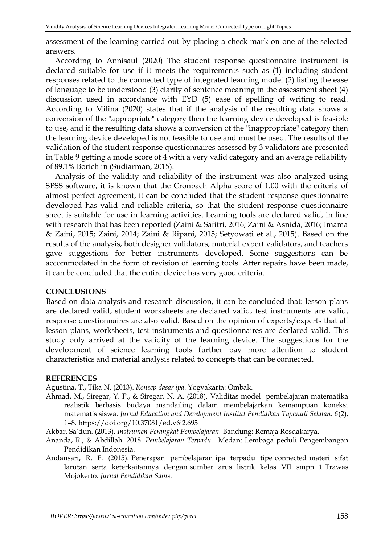assessment of the learning carried out by placing a check mark on one of the selected answers.

According to Annisaul (2020) The student response questionnaire instrument is declared suitable for use if it meets the requirements such as (1) including student responses related to the connected type of integrated learning model (2) listing the ease of language to be understood (3) clarity of sentence meaning in the assessment sheet (4) discussion used in accordance with EYD (5) ease of spelling of writing to read. According to Milina (2020) states that if the analysis of the resulting data shows a conversion of the "appropriate" category then the learning device developed is feasible to use, and if the resulting data shows a conversion of the "inappropriate" category then the learning device developed is not feasible to use and must be used. The results of the validation of the student response questionnaires assessed by 3 validators are presented in Table 9 getting a mode score of 4 with a very valid category and an average reliability of 89.1% Borich in (Sudiarman, 2015).

Analysis of the validity and reliability of the instrument was also analyzed using SPSS software, it is known that the Cronbach Alpha score of 1.00 with the criteria of almost perfect agreement, it can be concluded that the student response questionnaire developed has valid and reliable criteria, so that the student response questionnaire sheet is suitable for use in learning activities. Learning tools are declared valid, in line with research that has been reported (Zaini & Safitri, 2016; Zaini & Asnida, 2016; Imama & Zaini, 2015; Zaini, 2014; Zaini & Ripani, 2015; Setyowati et al., 2015). Based on the results of the analysis, both designer validators, material expert validators, and teachers gave suggestions for better instruments developed. Some suggestions can be accommodated in the form of revision of learning tools. After repairs have been made, it can be concluded that the entire device has very good criteria.

#### **CONCLUSIONS**

Based on data analysis and research discussion, it can be concluded that: lesson plans are declared valid, student worksheets are declared valid, test instruments are valid, response questionnaires are also valid. Based on the opinion of experts/experts that all lesson plans, worksheets, test instruments and questionnaires are declared valid. This study only arrived at the validity of the learning device. The suggestions for the development of science learning tools further pay more attention to student characteristics and material analysis related to concepts that can be connected.

#### **REFERENCES**

Agustina, T., Tika N. (2013). *Konsep dasar ipa*. Yogyakarta: Ombak.

Ahmad, M., Siregar, Y. P., & Siregar, N. A. (2018). Validitas model pembelajaran matematika realistik berbasis budaya mandailing dalam membelajarkan kemampuan koneksi matematis siswa. *Jurnal Education and Development Institut Pendidikan Tapanuli Selatan, 6*(2), 1–8.<https://doi.org/10.37081/ed.v6i2.695>

Akbar, Sa'dun. (2013). *Instrumen Perangkat Pembelajaran.* Bandung: Remaja Rosdakarya.

- Ananda, R., & Abdillah. 2018. *Pembelajaran Terpadu*. Medan: Lembaga peduli Pengembangan Pendidikan Indonesia.
- Andansari, R. F. (2015). Penerapan pembelajaran ipa terpadu tipe connected materi sifat larutan serta keterkaitannya dengan sumber arus listrik kelas VII smpn 1 Trawas Mojokerto. *Jurnal Pendidikan Sains*.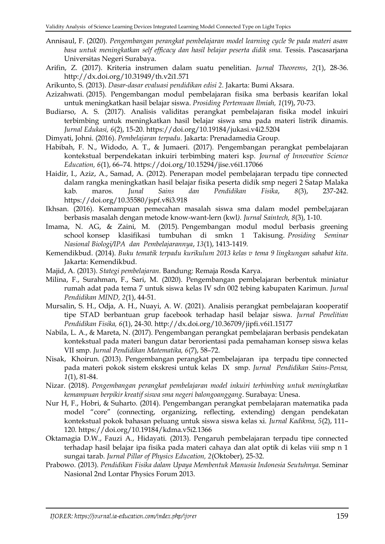- Annisaul, F. (2020). *Pengembangan perangkat pembelajaran model learning cycle 9e pada materi asam basa untuk meningkatkan self efficacy dan hasil belajar peserta didik sma.* Tessis. Pascasarjana Universitas Negeri Surabaya.
- Arifin, Z. (2017). Kriteria instrumen dalam suatu penelitian. *Jurnal Theorems*, *2*(1), 28-36. <http://dx.doi.org/10.31949/th.v2i1.571>
- Arikunto, S. (2013). *Dasar-dasar evaluasi pendidikan edisi 2.* Jakarta: Bumi Aksara.
- Azizahwati. (2015). Pengembangan modul pembelajaran fisika sma berbasis kearifan lokal untuk meningkatkan hasil belajar siswa. *Prosiding Pertemuan Ilmiah, 1*(19), 70-73.
- Budiarso, A. S. (2017). Analisis validitas perangkat pembelajaran fisika model inkuiri terbimbing untuk meningkatkan hasil belajar siswa sma pada materi listrik dinamis. *Jurnal Edukasi, 6*(2), 15-20. <https://doi.org/10.19184/jukasi.v4i2.5204>
- Dimyati, Johni. (2016). *Pembelajaran terpadu.* Jakarta: Prenadamedia Group.
- Habibah, F. N., Widodo, A. T., & Jumaeri. (2017). Pengembangan perangkat pembelajaran kontekstual berpendekatan inkuiri terbimbing materi ksp*. Journal of Innovative Science Education, 6*(1), 66–74.<https://doi.org/10.15294/jise.v6i1.17066>
- Haidir, I., Aziz, A., Samad, A. (2012). Penerapan model pembelajaran terpadu tipe connected dalam rangka meningkatkan hasil belajar fisika peserta didik smp negeri 2 Satap Malaka kab. maros*. Junal Sains dan Pendidikan Fisika*, *8*(3), 237-242. <https://doi.org/10.35580/jspf.v8i3.918>
- Ikhsan. (2016). Kemampuan pemecahan masalah siswa sma dalam model pembel;ajaran berbasis masalah dengan metode know-want-lern (kwl*). Jurnal Saintech, 8*(3), 1-10.
- Imama, N. AG, & Zaini, M. (2015). Pengembangan modul modul berbasis greening school konsep klasifikasi tumbuhan di smkn 1 Takisung. *Prosiding Seminar Nasional Biologi/IPA dan Pembelajarannya*, *13*(1), 1413-1419.
- Kemendikbud. (2014). *Buku tematik terpadu kurikulum 2013 kelas v tema 9 lingkungan sahabat kita*. Jakarta: Kemendikbud.
- Majid, A. (2013). *Stategi pembelajaran.* Bandung: Remaja Rosda Karya.
- Milina, F., Surahman, F., Sari, M. (2020). Pengembangan pembelajaran berbentuk miniatur rumah adat pada tema 7 untuk siswa kelas IV sdn 002 tebing kabupaten Karimun. *Jurnal Pendidikan MIND, 2*(1), 44-51.
- Mursalin, S. H., Odja, A. H., Nuayi, A. W. (2021). Analisis perangkat pembelajaran kooperatif tipe STAD berbantuan grup facebook terhadap hasil belajar siswa*. Jurnal Penelitian Pendidikan Fisika, 6*(1), 24-30.<http://dx.doi.org/10.36709/jipfi.v6i1.15177>
- Nabila, L. A., & Mareta, N. (2017). Pengembangan perangkat pembelajaran berbasis pendekatan kontekstual pada materi bangun datar berorientasi pada pemahaman konsep siswa kelas VII smp. *Jurnal Pendidikan Matematika, 6*(7), 58–72.
- Nisak, Khoirun. (2013). Pengembangan perangkat pembelajaran ipa terpadu tipe connected pada materi pokok sistem ekskresi untuk kelas IX smp. *Jurnal Pendidikan Sains-Pensa, 1*(1), 81-84.
- Nizar. (2018). *Pengembangan perangkat pembelajaran model inkuiri terbimbing untuk meningkatkan kemampuan berpikir kreatif siswa sma negeri balongoanggang*. Surabaya: Unesa.
- Nur H, F., Hobri, & Suharto. (2014). Pengembangan perangkat pembelajaran matematika pada model "core" (connecting, organizing, reflecting, extending) dengan pendekatan kontekstual pokok bahasan peluang untuk siswa siswa kelas xi. *Jurnal Kadikma, 5*(2), 111– 120.<https://doi.org/10.19184/kdma.v5i2.1366>
- Oktamagia D.W., Fauzi A., Hidayati. (2013). Pengaruh pembelajaran terpadu tipe connected terhadap hasil belajar ipa fisika pada materi cahaya dan alat optik di kelas viii smp n 1 sungai tarab. *Jurnal Pillar of Physics Education, 2*(Oktober), 25-32.
- Prabowo. (2013). *Pendidikan Fisika dalam Upaya Membentuk Manusia Indonesia Seutuhnya.* Seminar Nasional 2nd Lontar Physics Forum 2013.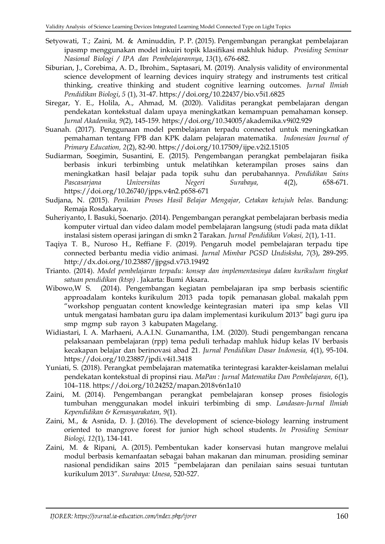- Setyowati, T.; Zaini, M. & Aminuddin, P. P. (2015). Pengembangan perangkat pembelajaran ipasmp menggunakan model inkuiri topik klasifikasi makhluk hidup. *Prosiding Seminar Nasional Biologi / IPA dan Pembelajarannya*, *13*(1), 676-682.
- Siburian, J., Corebima, A. D., Ibrohim., Saptasari, M. (2019). Analysis validity of environmental science development of learning devices inquiry strategy and instruments test critical thinking, creative thinking and student cognitive learning outcomes. *Jurnal Ilmiah Pendidikan Biologi*, *5* (1), 31-47[. https://doi.org/10.22437/bio.v5i1.6825](https://doi.org/10.22437/bio.v5i1.6825)
- Siregar, Y. E., Holila, A., Ahmad, M. (2020). Validitas perangkat pembelajaran dengan pendekatan kontekstual dalam upaya meningkatkan kemampuan pemahaman konsep*. Jurnal Akademika, 9*(2), 145-159. <https://doi.org/10.34005/akademika.v9i02.929>
- Suanah. (2017). Penggunaan model pembelajaran terpadu connected untuk meningkatkan pemahaman tentang FPB dan KPK dalam pelajaran matematika. *Indonesian Journal of Primary Education, 2*(2), 82-90. <https://doi.org/10.17509/ijpe.v2i2.15105>
- Sudiarman, Soegimin, Susantini, E. (2015). Pengembangan perangkat pembelajaran fisika berbasis inkuri terbimbing untuk melatihkan keterampilan proses sains dan meningkatkan hasil belajar pada topik suhu dan perubahannya. *Pendidikan Sains Pascasarjana Universitas Negeri Surabaya, 4*(2), 658-671. <https://doi.org/10.26740/jpps.v4n2.p658-671>
- Sudjana, N. (2015). *Penilaian Proses Hasil Belajar Mengajar, Cetakan ketujuh belas*. Bandung: Remaja Rosdakarya.
- Suheriyanto, I. Basuki, Soenarjo. (2014). Pengembangan perangkat pembelajaran berbasis media komputer virtual dan video dalam model pembelajaran langsung (studi pada mata diklat instalasi sistem operasi jaringan di smkn 2 Tarakan*. Jurnal Pendidikan Vokasi, 2*(1), 1-11.
- Taqiya T. B., Nuroso H., Reffiane F. (2019). Pengaruh model pembelajaran terpadu tipe connected berbantu media vidio animasi. *Jurnal Mimbar PGSD Undisksha*, *7*(3), 289-295. <http://dx.doi.org/10.23887/jjpgsd.v7i3.19492>
- Trianto. (2014). *Model pembelajaran terpadu: konsep dan implementasinya dalam kurikulum tingkat satuan pendidikan (ktsp)* . Jakarta: Bumi Aksara.
- Wibowo,W S. (2014). Pengembangan kegiatan pembelajaran ipa smp berbasis scientific approadalam konteks kurikulum 2013 pada topik pemanasan global. makalah ppm "workshop penguatan content knowledge keintegrasian materi ipa smp kelas VII untuk mengatasi hambatan guru ipa dalam implementasi kurikulum 2013" bagi guru ipa smp mgmp sub rayon 3 kabupaten Magelang.
- Widiastari, I. A. Marhaeni, A.A.I.N. Gunamantha, I.M. (2020). Studi pengembangan rencana pelaksanaan pembelajaran (rpp) tema peduli terhadap mahluk hidup kelas IV berbasis kecakapan belajar dan berinovasi abad 21*. Jurnal Pendidikan Dasar Indonesia, 4*(1), 95-104. <https://doi.org/10.23887/jpdi.v4i1.3418>
- Yuniati, S. (2018). Perangkat pembelajaran matematika terintegrasi karakter-keislaman melalui pendekatan kontekstual di propinsi riau. *MaPan : Jurnal Matematika Dan Pembelajaran, 6*(1), 104–118.<https://doi.org/10.24252/mapan.2018v6n1a10>
- Zaini, M. (2014). Pengembangan perangkat pembelajaran konsep proses fisiologis tumbuhan menggunakan model inkuiri terbimbing di smp. *Landasan-Jurnal Ilmiah Kependidikan & Kemasyarakatan, 9*(1).
- Zaini, M., & Asnida, D. J. (2016). The development of science-biology learning instrument oriented to mangrove forest for junior high school students. *In Prosiding Seminar Biologi, 12*(1), 134-141.
- Zaini, M. & Ripani, A. (2015). Pembentukan kader konservasi hutan mangrove melalui modul berbasis kemanfaatan sebagai bahan makanan dan minuman. prosiding seminar nasional pendidikan sains 2015 "pembelajaran dan penilaian sains sesuai tuntutan kurikulum 2013". *Surabaya: Unesa*, 520-527.